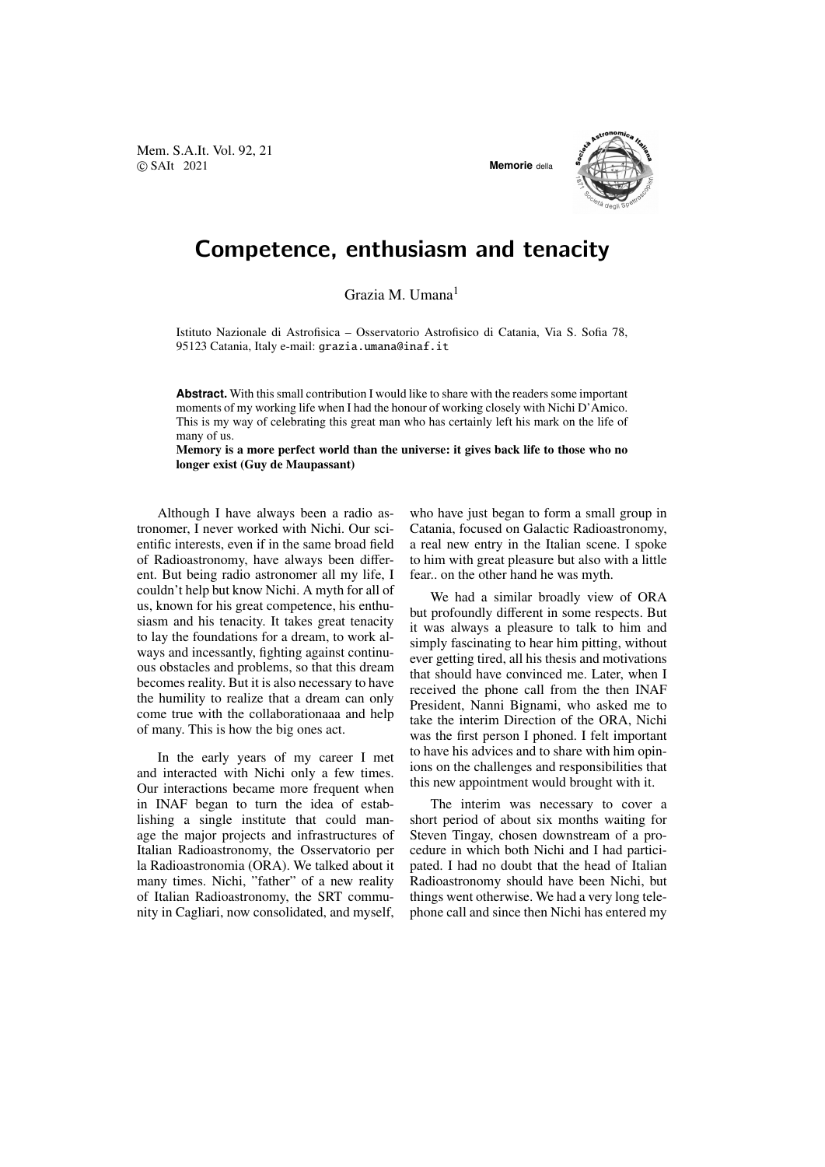Mem. S.A.It. Vol. 92, 21 © SAIt 2021 **Memorie** della



## Competence, enthusiasm and tenacity

Grazia M. Umana<sup>1</sup>

Istituto Nazionale di Astrofisica – Osservatorio Astrofisico di Catania, Via S. Sofia 78, 95123 Catania, Italy e-mail: grazia.umana@inaf.it

**Abstract.** With this small contribution I would like to share with the readers some important moments of my working life when I had the honour of working closely with Nichi D'Amico. This is my way of celebrating this great man who has certainly left his mark on the life of many of us.

Memory is a more perfect world than the universe: it gives back life to those who no longer exist (Guy de Maupassant)

Although I have always been a radio astronomer, I never worked with Nichi. Our scientific interests, even if in the same broad field of Radioastronomy, have always been different. But being radio astronomer all my life, I couldn't help but know Nichi. A myth for all of us, known for his great competence, his enthusiasm and his tenacity. It takes great tenacity to lay the foundations for a dream, to work always and incessantly, fighting against continuous obstacles and problems, so that this dream becomes reality. But it is also necessary to have the humility to realize that a dream can only come true with the collaborationaaa and help of many. This is how the big ones act.

In the early years of my career I met and interacted with Nichi only a few times. Our interactions became more frequent when in INAF began to turn the idea of establishing a single institute that could manage the major projects and infrastructures of Italian Radioastronomy, the Osservatorio per la Radioastronomia (ORA). We talked about it many times. Nichi, "father" of a new reality of Italian Radioastronomy, the SRT community in Cagliari, now consolidated, and myself, who have just began to form a small group in Catania, focused on Galactic Radioastronomy, a real new entry in the Italian scene. I spoke to him with great pleasure but also with a little fear.. on the other hand he was myth.

We had a similar broadly view of ORA but profoundly different in some respects. But it was always a pleasure to talk to him and simply fascinating to hear him pitting, without ever getting tired, all his thesis and motivations that should have convinced me. Later, when I received the phone call from the then INAF President, Nanni Bignami, who asked me to take the interim Direction of the ORA, Nichi was the first person I phoned. I felt important to have his advices and to share with him opinions on the challenges and responsibilities that this new appointment would brought with it.

The interim was necessary to cover a short period of about six months waiting for Steven Tingay, chosen downstream of a procedure in which both Nichi and I had participated. I had no doubt that the head of Italian Radioastronomy should have been Nichi, but things went otherwise. We had a very long telephone call and since then Nichi has entered my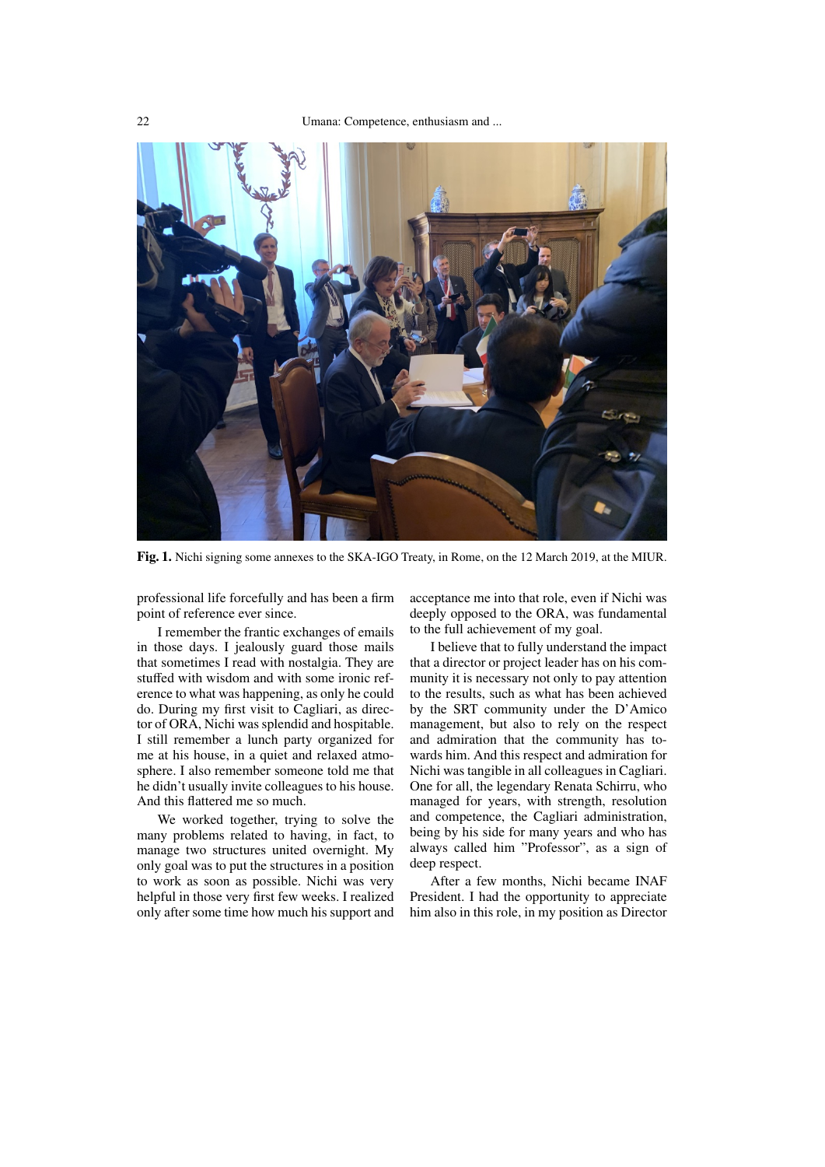

Fig. 1. Nichi signing some annexes to the SKA-IGO Treaty, in Rome, on the 12 March 2019, at the MIUR.

<span id="page-1-0"></span>professional life forcefully and has been a firm point of reference ever since.

I remember the frantic exchanges of emails in those days. I jealously guard those mails that sometimes I read with nostalgia. They are stuffed with wisdom and with some ironic reference to what was happening, as only he could do. During my first visit to Cagliari, as director of ORA, Nichi was splendid and hospitable. I still remember a lunch party organized for me at his house, in a quiet and relaxed atmosphere. I also remember someone told me that he didn't usually invite colleagues to his house. And this flattered me so much.

We worked together, trying to solve the many problems related to having, in fact, to manage two structures united overnight. My only goal was to put the structures in a position to work as soon as possible. Nichi was very helpful in those very first few weeks. I realized only after some time how much his support and acceptance me into that role, even if Nichi was deeply opposed to the ORA, was fundamental to the full achievement of my goal.

I believe that to fully understand the impact that a director or project leader has on his community it is necessary not only to pay attention to the results, such as what has been achieved by the SRT community under the D'Amico management, but also to rely on the respect and admiration that the community has towards him. And this respect and admiration for Nichi was tangible in all colleagues in Cagliari. One for all, the legendary Renata Schirru, who managed for years, with strength, resolution and competence, the Cagliari administration, being by his side for many years and who has always called him "Professor", as a sign of deep respect.

After a few months, Nichi became INAF President. I had the opportunity to appreciate him also in this role, in my position as Director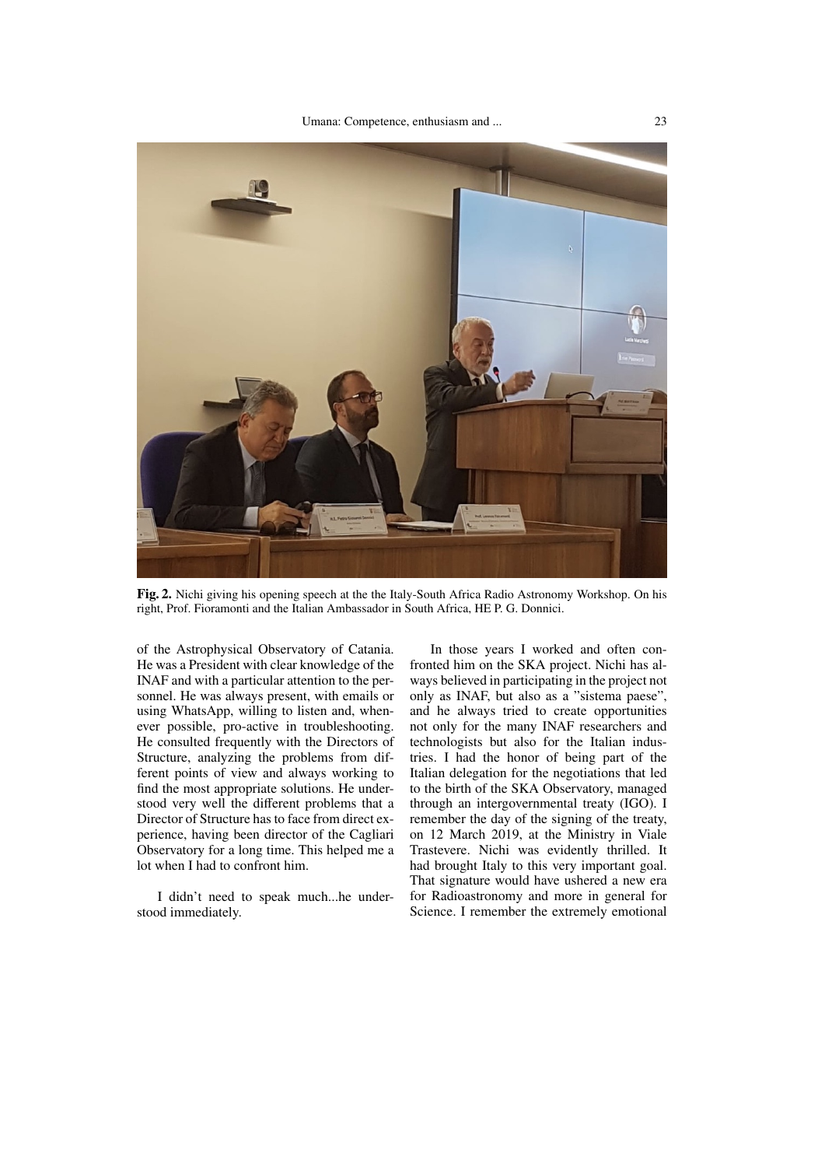

Fig. 2. Nichi giving his opening speech at the the Italy-South Africa Radio Astronomy Workshop. On his right, Prof. Fioramonti and the Italian Ambassador in South Africa, HE P. G. Donnici.

<span id="page-2-0"></span>of the Astrophysical Observatory of Catania. He was a President with clear knowledge of the INAF and with a particular attention to the personnel. He was always present, with emails or using WhatsApp, willing to listen and, whenever possible, pro-active in troubleshooting. He consulted frequently with the Directors of Structure, analyzing the problems from different points of view and always working to find the most appropriate solutions. He understood very well the different problems that a Director of Structure has to face from direct experience, having been director of the Cagliari Observatory for a long time. This helped me a lot when I had to confront him.

I didn't need to speak much...he understood immediately.

In those years I worked and often confronted him on the SKA project. Nichi has always believed in participating in the project not only as INAF, but also as a "sistema paese", and he always tried to create opportunities not only for the many INAF researchers and technologists but also for the Italian industries. I had the honor of being part of the Italian delegation for the negotiations that led to the birth of the SKA Observatory, managed through an intergovernmental treaty (IGO). I remember the day of the signing of the treaty, on 12 March 2019, at the Ministry in Viale Trastevere. Nichi was evidently thrilled. It had brought Italy to this very important goal. That signature would have ushered a new era for Radioastronomy and more in general for Science. I remember the extremely emotional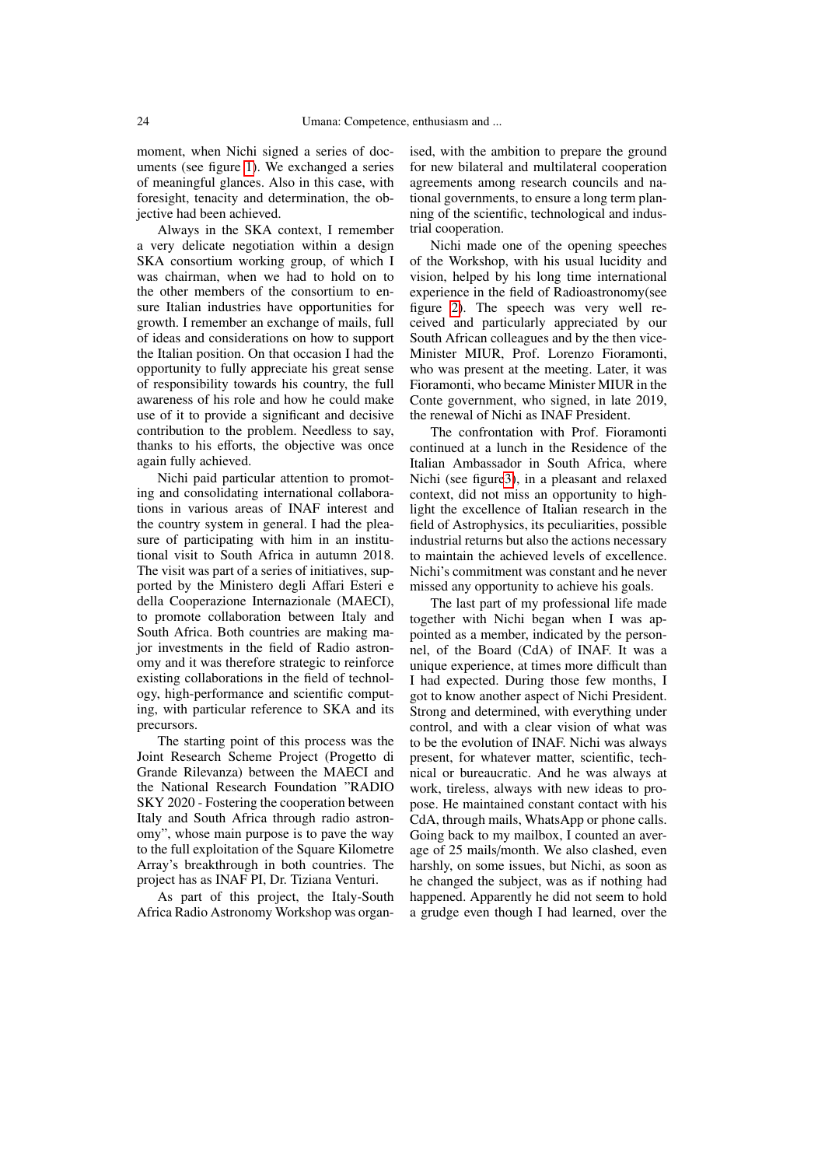moment, when Nichi signed a series of documents (see figure [1\)](#page-1-0). We exchanged a series of meaningful glances. Also in this case, with foresight, tenacity and determination, the objective had been achieved.

Always in the SKA context, I remember a very delicate negotiation within a design SKA consortium working group, of which I was chairman, when we had to hold on to the other members of the consortium to ensure Italian industries have opportunities for growth. I remember an exchange of mails, full of ideas and considerations on how to support the Italian position. On that occasion I had the opportunity to fully appreciate his great sense of responsibility towards his country, the full awareness of his role and how he could make use of it to provide a significant and decisive contribution to the problem. Needless to say, thanks to his efforts, the objective was once again fully achieved.

Nichi paid particular attention to promoting and consolidating international collaborations in various areas of INAF interest and the country system in general. I had the pleasure of participating with him in an institutional visit to South Africa in autumn 2018. The visit was part of a series of initiatives, supported by the Ministero degli Affari Esteri e della Cooperazione Internazionale (MAECI), to promote collaboration between Italy and South Africa. Both countries are making major investments in the field of Radio astronomy and it was therefore strategic to reinforce existing collaborations in the field of technology, high-performance and scientific computing, with particular reference to SKA and its precursors.

The starting point of this process was the Joint Research Scheme Project (Progetto di Grande Rilevanza) between the MAECI and the National Research Foundation "RADIO SKY 2020 - Fostering the cooperation between Italy and South Africa through radio astronomy", whose main purpose is to pave the way to the full exploitation of the Square Kilometre Array's breakthrough in both countries. The project has as INAF PI, Dr. Tiziana Venturi.

As part of this project, the Italy-South Africa Radio Astronomy Workshop was organised, with the ambition to prepare the ground for new bilateral and multilateral cooperation agreements among research councils and national governments, to ensure a long term planning of the scientific, technological and industrial cooperation.

Nichi made one of the opening speeches of the Workshop, with his usual lucidity and vision, helped by his long time international experience in the field of Radioastronomy(see figure [2\)](#page-2-0). The speech was very well received and particularly appreciated by our South African colleagues and by the then vice-Minister MIUR, Prof. Lorenzo Fioramonti, who was present at the meeting. Later, it was Fioramonti, who became Minister MIUR in the Conte government, who signed, in late 2019, the renewal of Nichi as INAF President.

The confrontation with Prof. Fioramonti continued at a lunch in the Residence of the Italian Ambassador in South Africa, where Nichi (see figur[e3\)](#page-4-0), in a pleasant and relaxed context, did not miss an opportunity to highlight the excellence of Italian research in the field of Astrophysics, its peculiarities, possible industrial returns but also the actions necessary to maintain the achieved levels of excellence. Nichi's commitment was constant and he never missed any opportunity to achieve his goals.

The last part of my professional life made together with Nichi began when I was appointed as a member, indicated by the personnel, of the Board (CdA) of INAF. It was a unique experience, at times more difficult than I had expected. During those few months, I got to know another aspect of Nichi President. Strong and determined, with everything under control, and with a clear vision of what was to be the evolution of INAF. Nichi was always present, for whatever matter, scientific, technical or bureaucratic. And he was always at work, tireless, always with new ideas to propose. He maintained constant contact with his CdA, through mails, WhatsApp or phone calls. Going back to my mailbox, I counted an average of 25 mails/month. We also clashed, even harshly, on some issues, but Nichi, as soon as he changed the subject, was as if nothing had happened. Apparently he did not seem to hold a grudge even though I had learned, over the